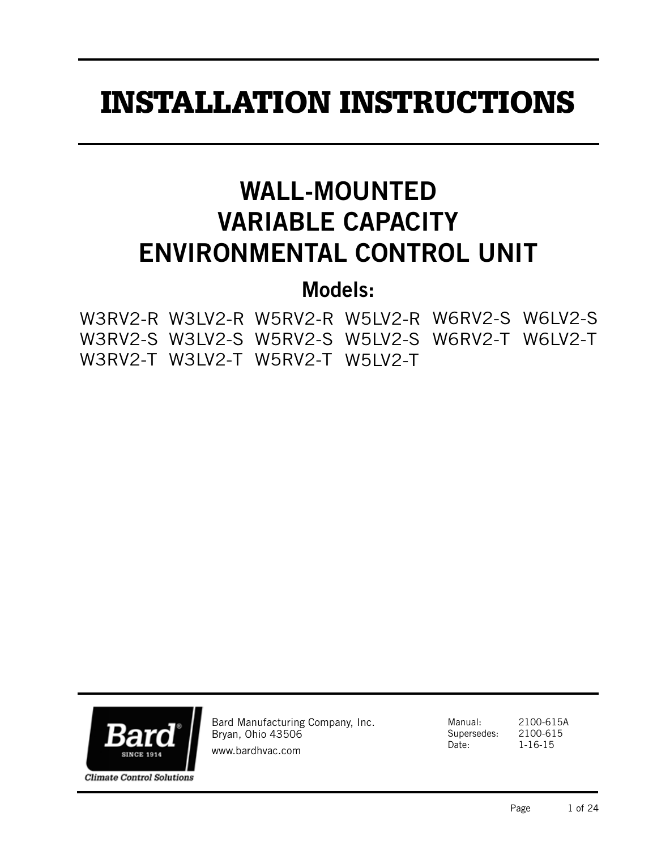# INSTALLATION INSTRUCTIONS

# WALL-MOUNTED VARIABLE CAPACITY ENVIRONMENTAL CONTROL UNIT

# Models:

|  | W3RV2-R W3LV2-R W5RV2-R W5LV2-R W6RV2-S W6LV2-S |  |  |
|--|-------------------------------------------------|--|--|
|  | W3RV2-S W3LV2-S W5RV2-S W5LV2-S W6RV2-T W6LV2-T |  |  |
|  | W3RV2-T W3LV2-T W5RV2-T W5LV2-T                 |  |  |



Bard Manufacturing Company, Inc. Bryan, Ohio 43506 www.bardhvac.com

Manual: 2100-615A Supersedes: 2100-615 Date: 1-16-15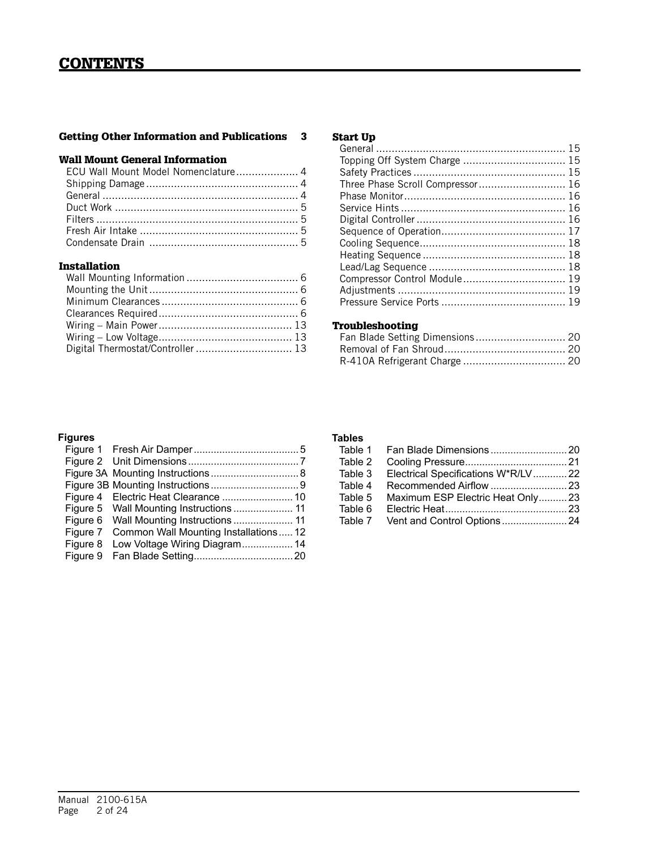## Getting Other Information and Publications 3

## Wall Mount General Information

## Installation

| Digital Thermostat/Controller  13 |  |
|-----------------------------------|--|

#### Start Up

| Three Phase Scroll Compressor 16 |  |
|----------------------------------|--|
|                                  |  |
|                                  |  |
|                                  |  |
|                                  |  |
|                                  |  |
|                                  |  |
|                                  |  |
| Compressor Control Module 19     |  |
|                                  |  |
|                                  |  |

## Troubleshooting

## **Figures**

| Figure 7 | Common Wall Mounting Installations12   |
|----------|----------------------------------------|
|          | Figure 8 Low Voltage Wiring Diagram 14 |
|          |                                        |

## **Tables**

| Table 2 |                                            |  |
|---------|--------------------------------------------|--|
|         | Table 3 Electrical Specifications W*R/LV22 |  |
| Table 4 |                                            |  |
| Table 5 | Maximum ESP Electric Heat Only23           |  |
| Table 6 |                                            |  |
|         |                                            |  |
|         |                                            |  |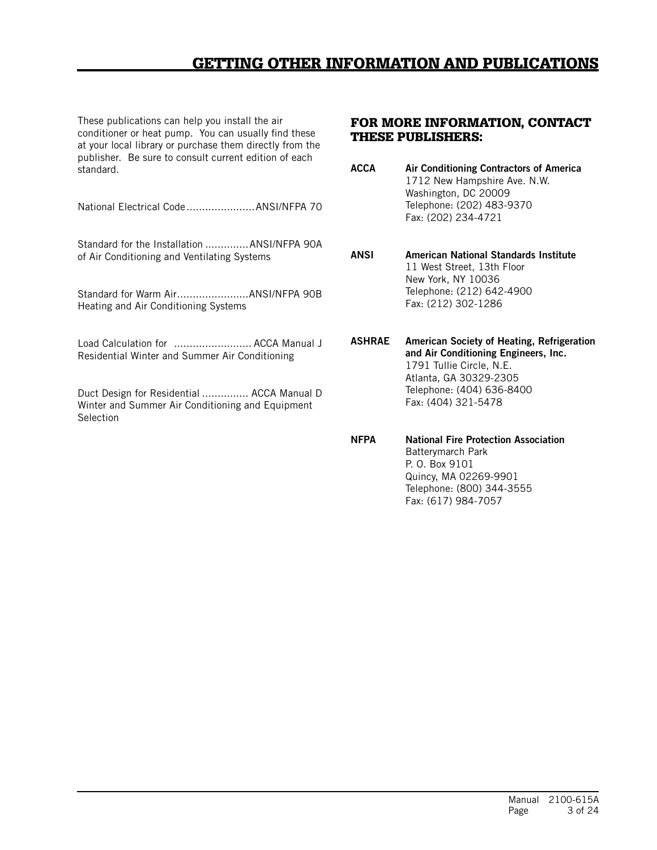## GETTING OTHER INFORMATION AND PUBLICATIONS

These publications can help you install the air conditioner or heat pump. You can usually find these at your local library or purchase them directly from the publisher. Be sure to consult current edition of each standard.

National Electrical Code......................ANSI/NFPA 70

Standard for the Installation ..............ANSI/NFPA 90A of Air Conditioning and Ventilating Systems

Standard for Warm Air.......................ANSI/NFPA 90B Heating and Air Conditioning Systems

Load Calculation for ......................... ACCA Manual J Residential Winter and Summer Air Conditioning

Duct Design for Residential ............... ACCA Manual D Winter and Summer Air Conditioning and Equipment **Selection** 

#### FOR MORE INFORMATION, CONTACT THESE PUBLISHERS:

ACCA Air Conditioning Contractors of America 1712 New Hampshire Ave. N.W. Washington, DC 20009 Telephone: (202) 483-9370 Fax: (202) 234-4721

ANSI American National Standards Institute 11 West Street, 13th Floor New York, NY 10036 Telephone: (212) 642-4900 Fax: (212) 302-1286

ASHRAE American Society of Heating, Refrigeration and Air Conditioning Engineers, Inc. 1791 Tullie Circle, N.E. Atlanta, GA 30329-2305 Telephone: (404) 636-8400 Fax: (404) 321-5478

NFPA National Fire Protection Association Batterymarch Park P. O. Box 9101 Quincy, MA 02269-9901 Telephone: (800) 344-3555 Fax: (617) 984-7057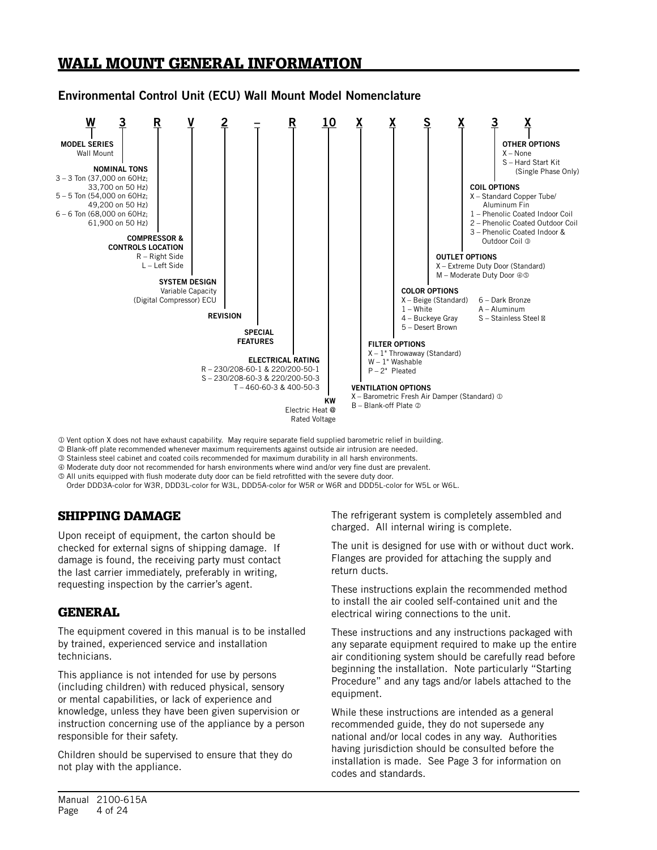## WALL MOUNT GENERAL INFORMATION

## Environmental Control Unit (ECU) Wall Mount Model Nomenclature



Vent option X does not have exhaust capability. May require separate field supplied barometric relief in building.

Blank-off plate recommended whenever maximum requirements against outside air intrusion are needed.

Stainless steel cabinet and coated coils recommended for maximum durability in all harsh environments.

Moderate duty door not recommended for harsh environments where wind and/or very fine dust are prevalent.

All units equipped with flush moderate duty door can be field retrofitted with the severe duty door.

Order DDD3A-color for W3R, DDD3L-color for W3L, DDD5A-color for W5R or W6R and DDD5L-color for W5L or W6L.

## SHIPPING DAMAGE

Upon receipt of equipment, the carton should be checked for external signs of shipping damage. If damage is found, the receiving party must contact the last carrier immediately, preferably in writing, requesting inspection by the carrier's agent.

## GENERAL

The equipment covered in this manual is to be installed by trained, experienced service and installation technicians.

This appliance is not intended for use by persons (including children) with reduced physical, sensory or mental capabilities, or lack of experience and knowledge, unless they have been given supervision or instruction concerning use of the appliance by a person responsible for their safety.

Children should be supervised to ensure that they do not play with the appliance.

The refrigerant system is completely assembled and charged. All internal wiring is complete.

The unit is designed for use with or without duct work. Flanges are provided for attaching the supply and return ducts.

These instructions explain the recommended method to install the air cooled self-contained unit and the electrical wiring connections to the unit.

These instructions and any instructions packaged with any separate equipment required to make up the entire air conditioning system should be carefully read before beginning the installation. Note particularly "Starting Procedure" and any tags and/or labels attached to the equipment.

While these instructions are intended as a general recommended guide, they do not supersede any national and/or local codes in any way. Authorities having jurisdiction should be consulted before the installation is made. See Page 3 for information on codes and standards.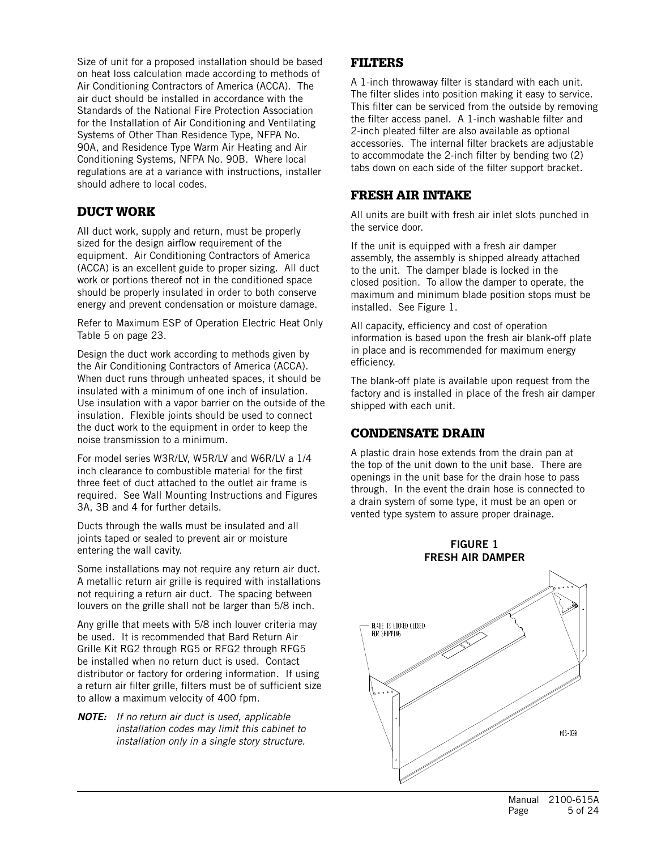Size of unit for a proposed installation should be based on heat loss calculation made according to methods of Air Conditioning Contractors of America (ACCA). The air duct should be installed in accordance with the Standards of the National Fire Protection Association for the Installation of Air Conditioning and Ventilating Systems of Other Than Residence Type, NFPA No. 90A, and Residence Type Warm Air Heating and Air Conditioning Systems, NFPA No. 90B. Where local regulations are at a variance with instructions, installer should adhere to local codes.

## DUCT WORK

All duct work, supply and return, must be properly sized for the design airflow requirement of the equipment. Air Conditioning Contractors of America (ACCA) is an excellent guide to proper sizing. All duct work or portions thereof not in the conditioned space should be properly insulated in order to both conserve energy and prevent condensation or moisture damage.

Refer to Maximum ESP of Operation Electric Heat Only Table 5 on page 23.

Design the duct work according to methods given by the Air Conditioning Contractors of America (ACCA). When duct runs through unheated spaces, it should be insulated with a minimum of one inch of insulation. Use insulation with a vapor barrier on the outside of the insulation. Flexible joints should be used to connect the duct work to the equipment in order to keep the noise transmission to a minimum.

For model series W3R/LV, W5R/LV and W6R/LV a 1/4 inch clearance to combustible material for the first three feet of duct attached to the outlet air frame is required. See Wall Mounting Instructions and Figures 3A, 3B and 4 for further details.

Ducts through the walls must be insulated and all joints taped or sealed to prevent air or moisture entering the wall cavity.

Some installations may not require any return air duct. A metallic return air grille is required with installations not requiring a return air duct. The spacing between louvers on the grille shall not be larger than 5/8 inch.

Any grille that meets with 5/8 inch louver criteria may be used. It is recommended that Bard Return Air Grille Kit RG2 through RG5 or RFG2 through RFG5 be installed when no return duct is used. Contact distributor or factory for ordering information. If using a return air filter grille, filters must be of sufficient size to allow a maximum velocity of 400 fpm.

*NOTE: If no return air duct is used, applicable installation codes may limit this cabinet to installation only in a single story structure.*

## FILTERS

A 1-inch throwaway filter is standard with each unit. The filter slides into position making it easy to service. This filter can be serviced from the outside by removing the filter access panel. A 1-inch washable filter and 2-inch pleated filter are also available as optional accessories. The internal filter brackets are adjustable to accommodate the 2-inch filter by bending two (2) tabs down on each side of the filter support bracket.

## FRESH AIR INTAKE

All units are built with fresh air inlet slots punched in the service door.

If the unit is equipped with a fresh air damper assembly, the assembly is shipped already attached to the unit. The damper blade is locked in the closed position. To allow the damper to operate, the maximum and minimum blade position stops must be installed. See Figure 1.

All capacity, efficiency and cost of operation information is based upon the fresh air blank-off plate in place and is recommended for maximum energy efficiency.

The blank-off plate is available upon request from the factory and is installed in place of the fresh air damper shipped with each unit.

## CONDENSATE DRAIN

A plastic drain hose extends from the drain pan at the top of the unit down to the unit base. There are openings in the unit base for the drain hose to pass through. In the event the drain hose is connected to a drain system of some type, it must be an open or vented type system to assure proper drainage.



## FIGURE 1 FRESH AIR DAMPER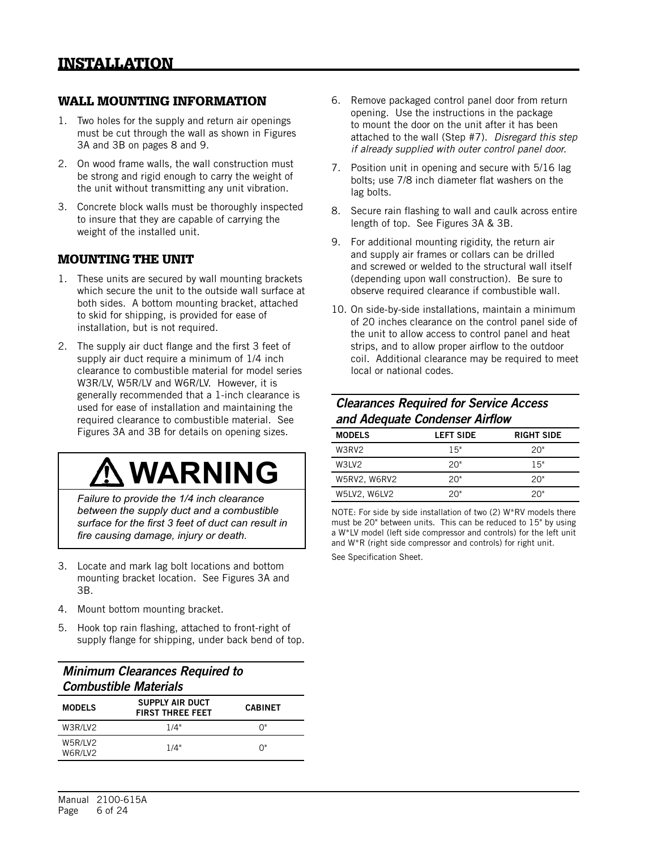## WALL MOUNTING INFORMATION

- 1. Two holes for the supply and return air openings must be cut through the wall as shown in Figures 3A and 3B on pages 8 and 9.
- 2. On wood frame walls, the wall construction must be strong and rigid enough to carry the weight of the unit without transmitting any unit vibration.
- 3. Concrete block walls must be thoroughly inspected to insure that they are capable of carrying the weight of the installed unit.

## MOUNTING THE UNIT

- 1. These units are secured by wall mounting brackets which secure the unit to the outside wall surface at both sides. A bottom mounting bracket, attached to skid for shipping, is provided for ease of installation, but is not required.
- 2. The supply air duct flange and the first 3 feet of supply air duct require a minimum of 1/4 inch clearance to combustible material for model series W3R/LV, W5R/LV and W6R/LV. However, it is generally recommended that a 1-inch clearance is used for ease of installation and maintaining the required clearance to combustible material. See Figures 3A and 3B for details on opening sizes.

# **WARNING**

*Failure to provide the 1/4 inch clearance between the supply duct and a combustible surface for the first 3 feet of duct can result in fire causing damage, injury or death.*

- 3. Locate and mark lag bolt locations and bottom mounting bracket location. See Figures 3A and 3B.
- 4. Mount bottom mounting bracket.
- 5. Hook top rain flashing, attached to front-right of supply flange for shipping, under back bend of top.

## *Minimum Clearances Required to Combustible Materials*

| <b>MODELS</b>      | SUPPLY AIR DUCT<br><b>FIRST THREE FEET</b> | <b>CABINET</b> |
|--------------------|--------------------------------------------|----------------|
| W3R/LV2            | 1/4"                                       | በ"             |
| W5R/LV2<br>W6R/LV2 | 1/4"                                       | በ"             |

- 6. Remove packaged control panel door from return opening. Use the instructions in the package to mount the door on the unit after it has been attached to the wall (Step #7). *Disregard this step if already supplied with outer control panel door.*
- 7. Position unit in opening and secure with 5/16 lag bolts; use 7/8 inch diameter flat washers on the lag bolts.
- 8. Secure rain flashing to wall and caulk across entire length of top. See Figures 3A & 3B.
- 9. For additional mounting rigidity, the return air and supply air frames or collars can be drilled and screwed or welded to the structural wall itself (depending upon wall construction). Be sure to observe required clearance if combustible wall.
- 10. On side-by-side installations, maintain a minimum of 20 inches clearance on the control panel side of the unit to allow access to control panel and heat strips, and to allow proper airflow to the outdoor coil. Additional clearance may be required to meet local or national codes.

## *Clearances Required for Service Access and Adequate Condenser Airflow*

| <b>MODELS</b> | <b>LEFT SIDE</b> | <b>RIGHT SIDE</b> |
|---------------|------------------|-------------------|
| W3RV2         | 15"              | 20"               |
| W3LV2         | 20"              | 15"               |
| W5RV2, W6RV2  | 20"              | 20"               |
| W5LV2, W6LV2  | 20"              | 20"               |

NOTE: For side by side installation of two (2) W\*RV models there must be 20" between units. This can be reduced to 15" by using a W\*LV model (left side compressor and controls) for the left unit and W\*R (right side compressor and controls) for right unit.

See Specification Sheet.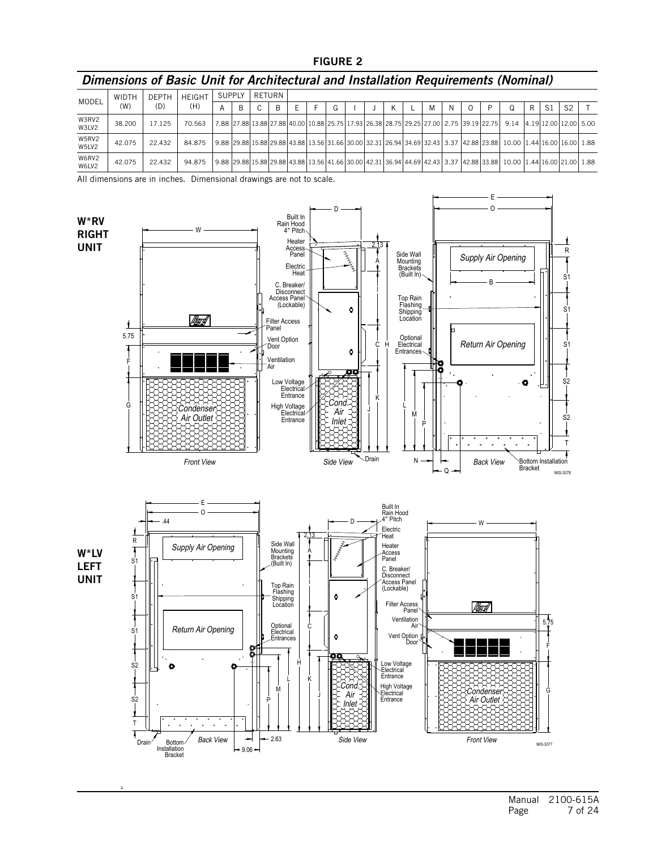#### FIGURE 2

## *Dimensions of Basic Unit for Architectural and Installation Requirements (Nominal)*

| MODEL          | <b>WIDTH</b> | <b>DEPTH</b> | <b>HFIGHT</b> | <b>SUPPLY</b> | RETURN |   |  |  |  |   |   |  |                                                                                                                                    |   |     |                |  |
|----------------|--------------|--------------|---------------|---------------|--------|---|--|--|--|---|---|--|------------------------------------------------------------------------------------------------------------------------------------|---|-----|----------------|--|
|                | (W)          | (D)          | (H)           |               | ◠      | B |  |  |  | M | N |  | O                                                                                                                                  | R | -Si | S <sub>2</sub> |  |
| W3RV2<br>W3LV2 | 38,200       | 17.125       | 70.563        |               |        |   |  |  |  |   |   |  | 7.88 27.88 13.88 27.88 40.00 10.88 25.75 17.93 26.38 28.75 29.25 27.00 2.75 39.19 22.75 3.14 4.19 12.00 12.00 5.00                 |   |     |                |  |
| W5RV2<br>W5LV2 | 42.075       | 22.432       | 84.875        |               |        |   |  |  |  |   |   |  | <u>  9.88  29.88 15.88 29.88 43.88 13.56 31.66 30.00 32.31 26.94 34.69 32.43  3.37  42.88 23.88  10.00  1.44 16.00 16.00  1.88</u> |   |     |                |  |
| W6RV2<br>W6LV2 | 42.075       | 22.432       | 94.875        |               |        |   |  |  |  |   |   |  | l 9.88  29.88 15.88 29.88 43.88 13.56 41.66 30.00 42.31 36.94 44.69 42.43  3.37  42.88 33.88  10.00  1.44 16.00 21.00  1.88        |   |     |                |  |

All dimensions are in inches. Dimensional drawings are not to scale.

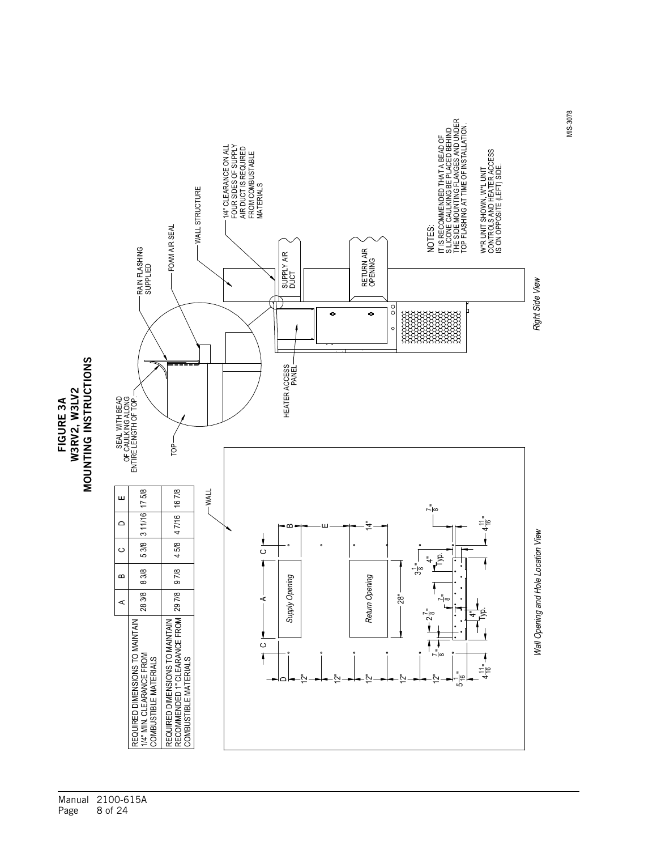



MIS-3078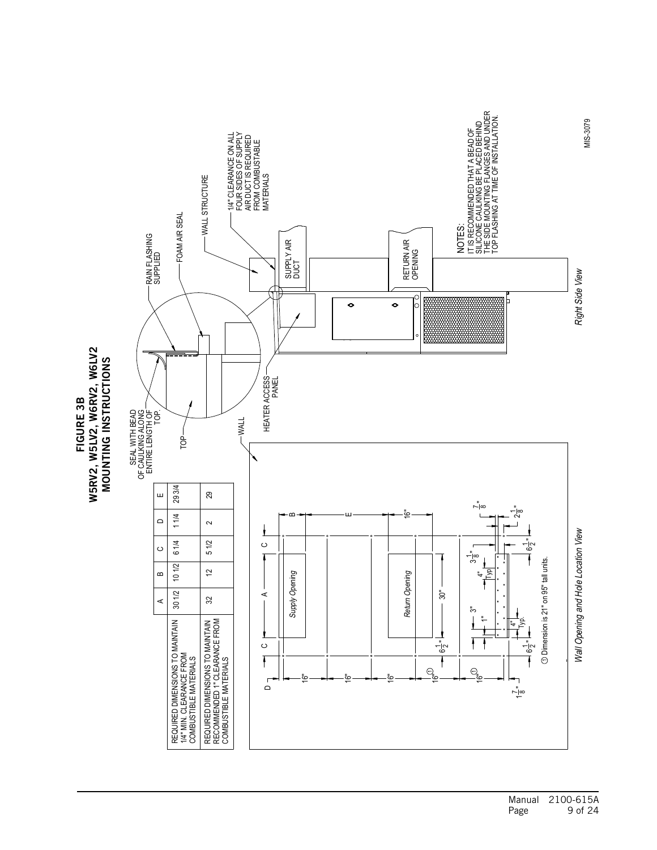

W5RV2, W5LV2, W6RV2, W6LV2 W5RV2, W5LV2, W6RV2, W6LV2 **MOUNTING INSTRUCTIONS** SZOILUDRLSZI UZILZDOW FIGURE 3B FIGURE 3B

> Manual 2100-615A Page 9 of 24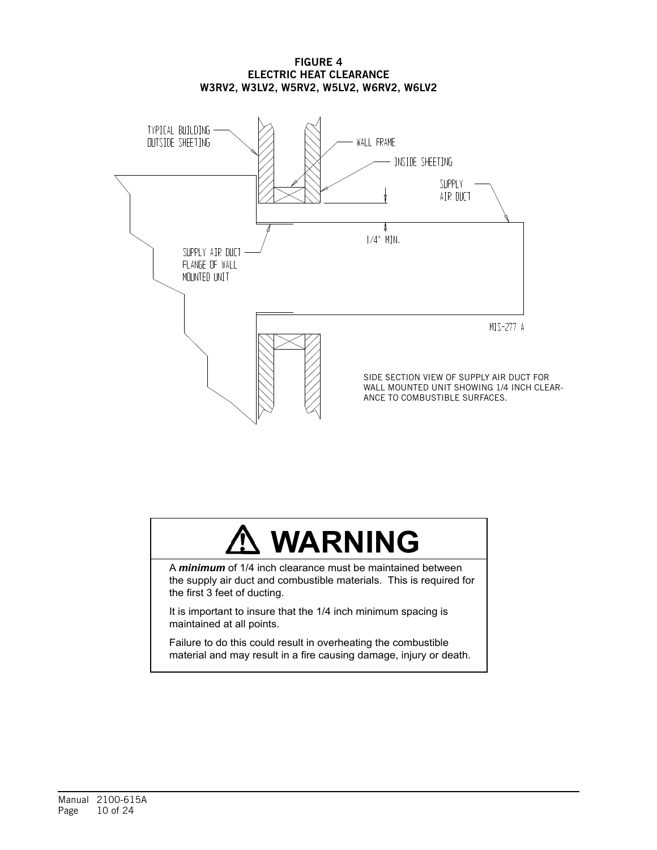#### FIGURE 4 ELECTRIC HEAT CLEARANCE W3RV2, W3LV2, W5RV2, W5LV2, W6RV2, W6LV2



# **WARNING**

A *minimum* of 1/4 inch clearance must be maintained between the supply air duct and combustible materials. This is required for the first 3 feet of ducting.

It is important to insure that the 1/4 inch minimum spacing is maintained at all points.

Failure to do this could result in overheating the combustible material and may result in a fire causing damage, injury or death.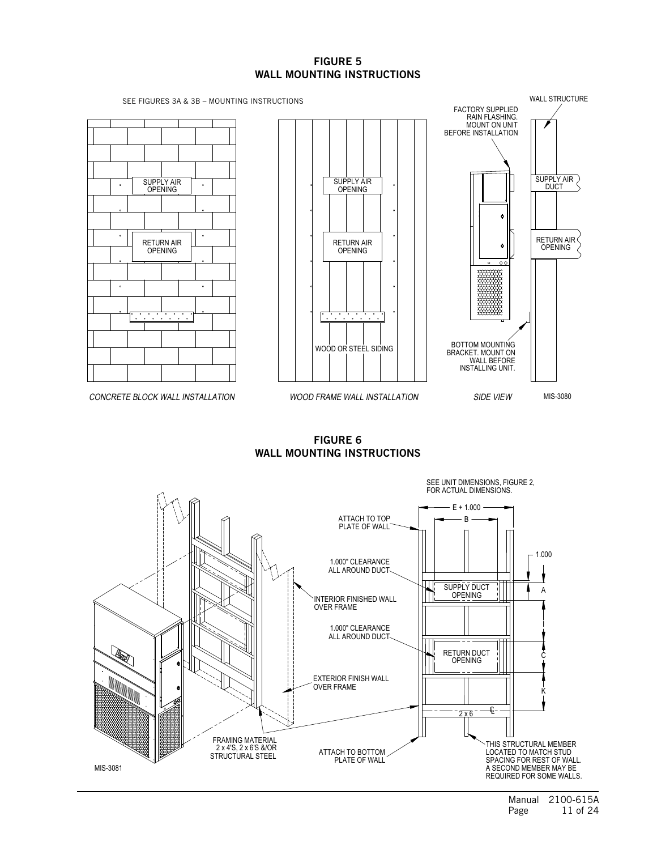#### FIGURE 5 WALL MOUNTING INSTRUCTIONS



FIGURE 6 WALL MOUNTING INSTRUCTIONS

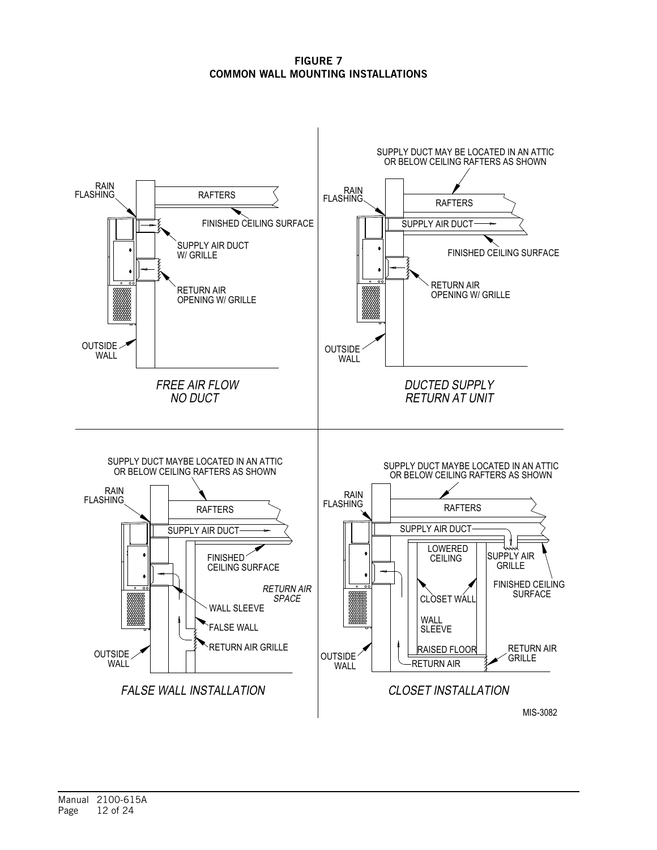FIGURE 7 COMMON WALL MOUNTING INSTALLATIONS

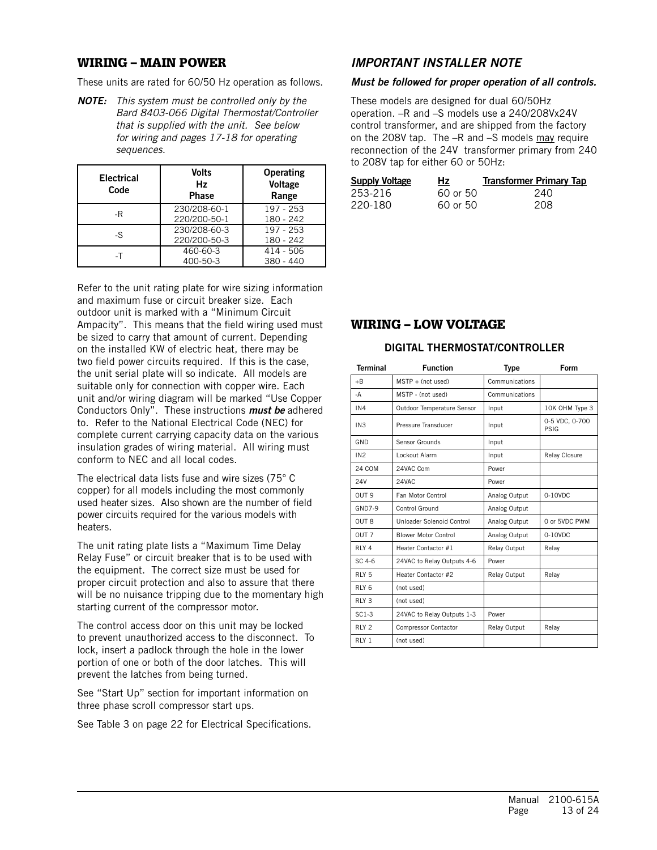## WIRING – MAIN POWER

These units are rated for 60/50 Hz operation as follows.

*NOTE: This system must be controlled only by the Bard 8403-066 Digital Thermostat/Controller that is supplied with the unit. See below for wiring and pages 17-18 for operating sequences.*

| <b>Electrical</b><br>Code | <b>Volts</b><br>Hz<br><b>Phase</b> | <b>Operating</b><br>Voltage<br>Range |  |  |  |
|---------------------------|------------------------------------|--------------------------------------|--|--|--|
| -R                        | 230/208-60-1<br>220/200-50-1       | 197 - 253<br>180 - 242               |  |  |  |
| -S                        | 230/208-60-3<br>220/200-50-3       | $197 - 253$<br>180 - 242             |  |  |  |
| -T                        | 460-60-3<br>400-50-3               | $414 - 506$<br>$380 - 440$           |  |  |  |

Refer to the unit rating plate for wire sizing information and maximum fuse or circuit breaker size. Each outdoor unit is marked with a "Minimum Circuit Ampacity". This means that the field wiring used must be sized to carry that amount of current. Depending on the installed KW of electric heat, there may be two field power circuits required. If this is the case, the unit serial plate will so indicate. All models are suitable only for connection with copper wire. Each unit and/or wiring diagram will be marked "Use Copper Conductors Only". These instructions *must be* adhered to. Refer to the National Electrical Code (NEC) for complete current carrying capacity data on the various insulation grades of wiring material. All wiring must conform to NEC and all local codes.

The electrical data lists fuse and wire sizes (75° C copper) for all models including the most commonly used heater sizes. Also shown are the number of field power circuits required for the various models with heaters.

The unit rating plate lists a "Maximum Time Delay Relay Fuse" or circuit breaker that is to be used with the equipment. The correct size must be used for proper circuit protection and also to assure that there will be no nuisance tripping due to the momentary high starting current of the compressor motor.

The control access door on this unit may be locked to prevent unauthorized access to the disconnect. To lock, insert a padlock through the hole in the lower portion of one or both of the door latches. This will prevent the latches from being turned.

See "Start Up" section for important information on three phase scroll compressor start ups.

See Table 3 on page 22 for Electrical Specifications.

## *IMPORTANT INSTALLER NOTE*

#### *Must be followed for proper operation of all controls.*

These models are designed for dual 60/50Hz operation. –R and –S models use a 240/208Vx24V control transformer, and are shipped from the factory on the 208V tap. The –R and –S models may require reconnection of the 24V transformer primary from 240 to 208V tap for either 60 or 50Hz:

| <u>Supply Voltage</u> | <b>Hz</b> | <b>Transformer Primary Tap</b> |
|-----------------------|-----------|--------------------------------|
| 253-216               | 60 or 50  | 240                            |
| 220-180               | 60 or 50  | 208                            |

## WIRING – LOW VOLTAGE

#### DIGITAL THERMOSTAT/CONTROLLER

| <b>Terminal</b>  | <b>Function</b>             | <b>Type</b>    | Form                   |
|------------------|-----------------------------|----------------|------------------------|
| $+ B$            | $MSTP + (not used)$         | Communications |                        |
| -A               | MSTP - (not used)           | Communications |                        |
| IN4              | Outdoor Temperature Sensor  | Input          | 10K OHM Type 3         |
| IN3              | Pressure Transducer         | Input          | 0-5 VDC, 0-700<br>PSIG |
| GND              | Sensor Grounds              | Input          |                        |
| IN2              | Lockout Alarm               | Input          | Relay Closure          |
| 24 COM           | 24VAC Com                   | Power          |                        |
| 24V              | 24VAC                       | Power          |                        |
| OUT <sub>9</sub> | Fan Motor Control           | Analog Output  | $0-10VDC$              |
| $GND7-9$         | Control Ground              | Analog Output  |                        |
| <b>OUT 8</b>     | Unloader Solenoid Control   | Analog Output  | 0 or 5VDC PWM          |
| OUT <sub>7</sub> | <b>Blower Motor Control</b> | Analog Output  | 0-10VDC                |
| RIY <sub>4</sub> | Heater Contactor #1         | Relay Output   | Relay                  |
| $SC.4-6$         | 24VAC to Relay Outputs 4-6  | Power          |                        |
| RLY <sub>5</sub> | Heater Contactor #2         | Relay Output   | Relay                  |
| RLY <sub>6</sub> | (not used)                  |                |                        |
| RLY <sub>3</sub> | (not used)                  |                |                        |
| $SC1-3$          | 24VAC to Relay Outputs 1-3  | Power          |                        |
| RLY <sub>2</sub> | <b>Compressor Contactor</b> | Relay Output   | Relay                  |
| RLY <sub>1</sub> | (not used)                  |                |                        |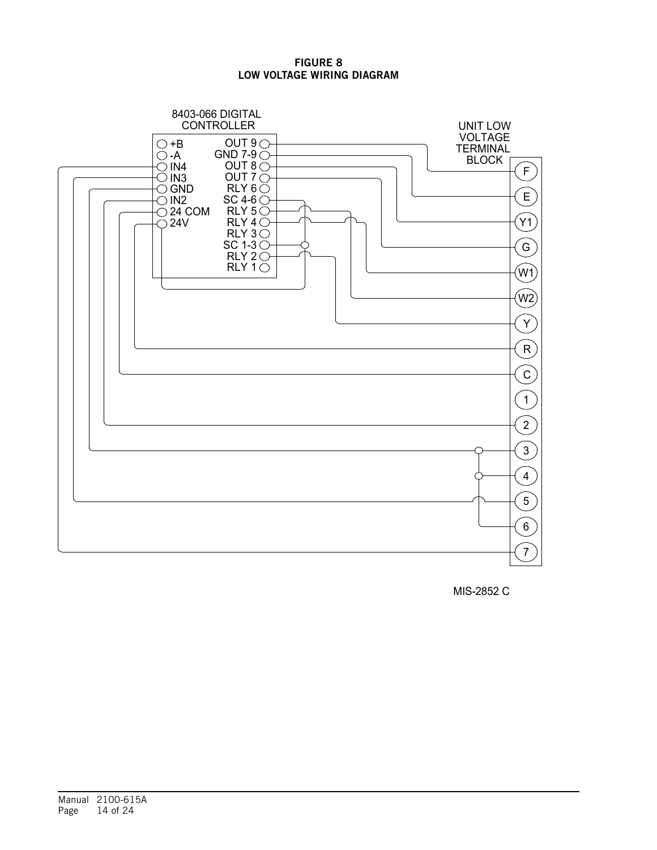### FIGURE 8 LOW VOLTAGE WIRING DIAGRAM



MIS-2852 C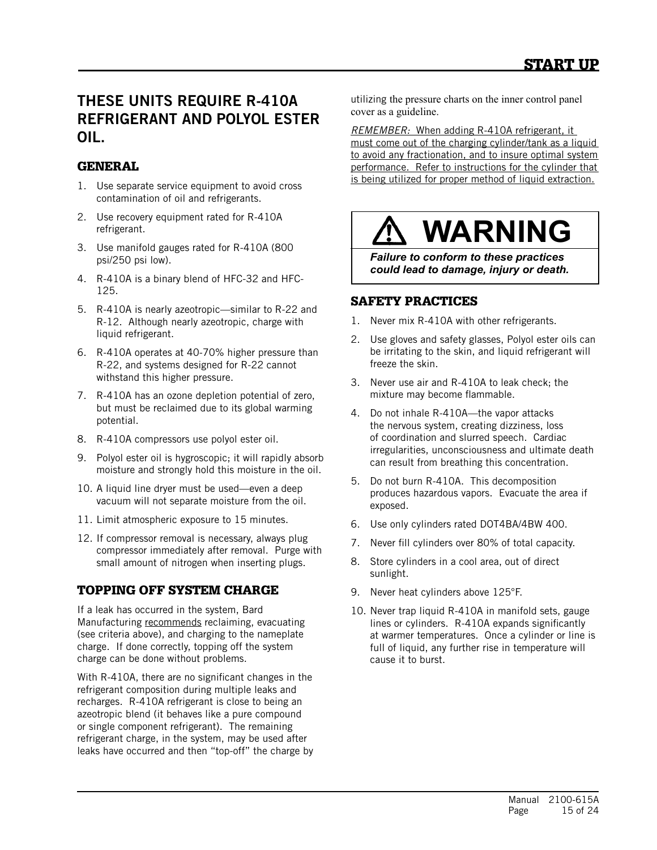## THESE UNITS REQUIRE R-410A REFRIGERANT AND POLYOL ESTER OIL.

## **GENERAL**

- 1. Use separate service equipment to avoid cross contamination of oil and refrigerants.
- 2. Use recovery equipment rated for R-410A refrigerant.
- 3. Use manifold gauges rated for R-410A (800 psi/250 psi low).
- 4. R-410A is a binary blend of HFC-32 and HFC-125.
- 5. R-410A is nearly azeotropic—similar to R-22 and R-12. Although nearly azeotropic, charge with liquid refrigerant.
- 6. R-410A operates at 40-70% higher pressure than R-22, and systems designed for R-22 cannot withstand this higher pressure.
- 7. R-410A has an ozone depletion potential of zero, but must be reclaimed due to its global warming potential.
- 8. R-410A compressors use polyol ester oil.
- 9. Polyol ester oil is hygroscopic; it will rapidly absorb moisture and strongly hold this moisture in the oil.
- 10. A liquid line dryer must be used—even a deep vacuum will not separate moisture from the oil.
- 11. Limit atmospheric exposure to 15 minutes.
- 12. If compressor removal is necessary, always plug compressor immediately after removal. Purge with small amount of nitrogen when inserting plugs.

## TOPPING OFF SYSTEM CHARGE

If a leak has occurred in the system, Bard Manufacturing recommends reclaiming, evacuating (see criteria above), and charging to the nameplate charge. If done correctly, topping off the system charge can be done without problems.

With R-410A, there are no significant changes in the refrigerant composition during multiple leaks and recharges. R-410A refrigerant is close to being an azeotropic blend (it behaves like a pure compound or single component refrigerant). The remaining refrigerant charge, in the system, may be used after leaks have occurred and then "top-off" the charge by

utilizing the pressure charts on the inner control panel cover as a guideline.

*REMEMBER:* When adding R-410A refrigerant, it must come out of the charging cylinder/tank as a liquid to avoid any fractionation, and to insure optimal system performance. Refer to instructions for the cylinder that is being utilized for proper method of liquid extraction.



*Failure to conform to these practices could lead to damage, injury or death.*

## SAFETY PRACTICES

- 1. Never mix R-410A with other refrigerants.
- 2. Use gloves and safety glasses, Polyol ester oils can be irritating to the skin, and liquid refrigerant will freeze the skin.
- 3. Never use air and R-410A to leak check; the mixture may become flammable.
- 4. Do not inhale R-410A—the vapor attacks the nervous system, creating dizziness, loss of coordination and slurred speech. Cardiac irregularities, unconsciousness and ultimate death can result from breathing this concentration.
- 5. Do not burn R-410A. This decomposition produces hazardous vapors. Evacuate the area if exposed.
- 6. Use only cylinders rated DOT4BA/4BW 400.
- 7. Never fill cylinders over 80% of total capacity.
- 8. Store cylinders in a cool area, out of direct sunlight.
- 9. Never heat cylinders above 125°F.
- 10. Never trap liquid R-410A in manifold sets, gauge lines or cylinders. R-410A expands significantly at warmer temperatures. Once a cylinder or line is full of liquid, any further rise in temperature will cause it to burst.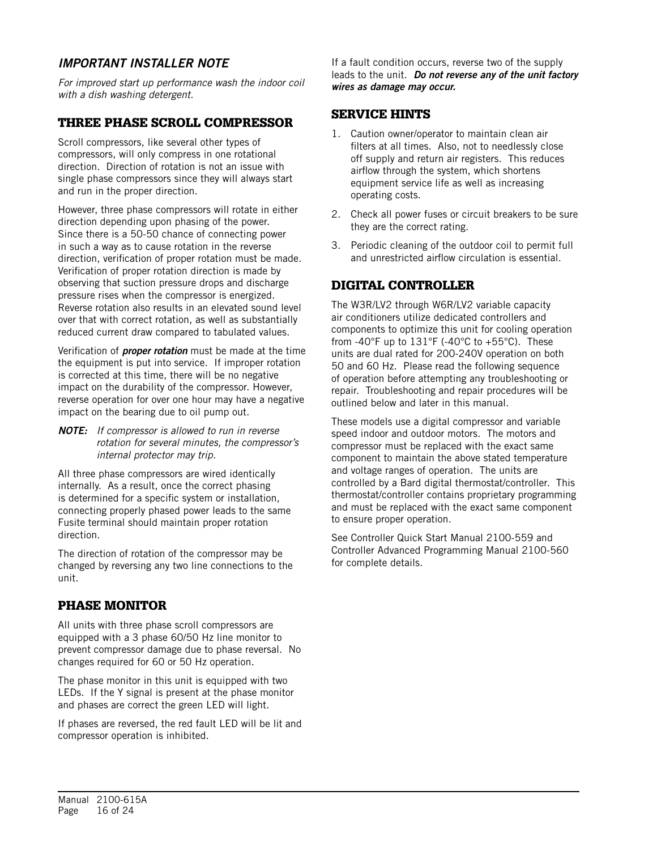## *IMPORTANT INSTALLER NOTE*

*For improved start up performance wash the indoor coil with a dish washing detergent.*

## THREE PHASE SCROLL COMPRESSOR

Scroll compressors, like several other types of compressors, will only compress in one rotational direction. Direction of rotation is not an issue with single phase compressors since they will always start and run in the proper direction.

However, three phase compressors will rotate in either direction depending upon phasing of the power. Since there is a 50-50 chance of connecting power in such a way as to cause rotation in the reverse direction, verification of proper rotation must be made. Verification of proper rotation direction is made by observing that suction pressure drops and discharge pressure rises when the compressor is energized. Reverse rotation also results in an elevated sound level over that with correct rotation, as well as substantially reduced current draw compared to tabulated values.

Verification of *proper rotation* must be made at the time the equipment is put into service. If improper rotation is corrected at this time, there will be no negative impact on the durability of the compressor. However, reverse operation for over one hour may have a negative impact on the bearing due to oil pump out.

*NOTE: If compressor is allowed to run in reverse rotation for several minutes, the compressor's internal protector may trip.*

All three phase compressors are wired identically internally. As a result, once the correct phasing is determined for a specific system or installation, connecting properly phased power leads to the same Fusite terminal should maintain proper rotation direction.

The direction of rotation of the compressor may be changed by reversing any two line connections to the unit.

## PHASE MONITOR

All units with three phase scroll compressors are equipped with a 3 phase 60/50 Hz line monitor to prevent compressor damage due to phase reversal. No changes required for 60 or 50 Hz operation.

The phase monitor in this unit is equipped with two LEDs. If the Y signal is present at the phase monitor and phases are correct the green LED will light.

If phases are reversed, the red fault LED will be lit and compressor operation is inhibited.

If a fault condition occurs, reverse two of the supply leads to the unit. *Do not reverse any of the unit factory wires as damage may occur.*

## SERVICE HINTS

- 1. Caution owner/operator to maintain clean air filters at all times. Also, not to needlessly close off supply and return air registers. This reduces airflow through the system, which shortens equipment service life as well as increasing operating costs.
- 2. Check all power fuses or circuit breakers to be sure they are the correct rating.
- 3. Periodic cleaning of the outdoor coil to permit full and unrestricted airflow circulation is essential.

## DIGITAL CONTROLLER

The W3R/LV2 through W6R/LV2 variable capacity air conditioners utilize dedicated controllers and components to optimize this unit for cooling operation from -40°F up to  $131$ °F (-40°C to +55°C). These units are dual rated for 200-240V operation on both 50 and 60 Hz. Please read the following sequence of operation before attempting any troubleshooting or repair. Troubleshooting and repair procedures will be outlined below and later in this manual.

These models use a digital compressor and variable speed indoor and outdoor motors. The motors and compressor must be replaced with the exact same component to maintain the above stated temperature and voltage ranges of operation. The units are controlled by a Bard digital thermostat/controller. This thermostat/controller contains proprietary programming and must be replaced with the exact same component to ensure proper operation.

See Controller Quick Start Manual 2100-559 and Controller Advanced Programming Manual 2100-560 for complete details.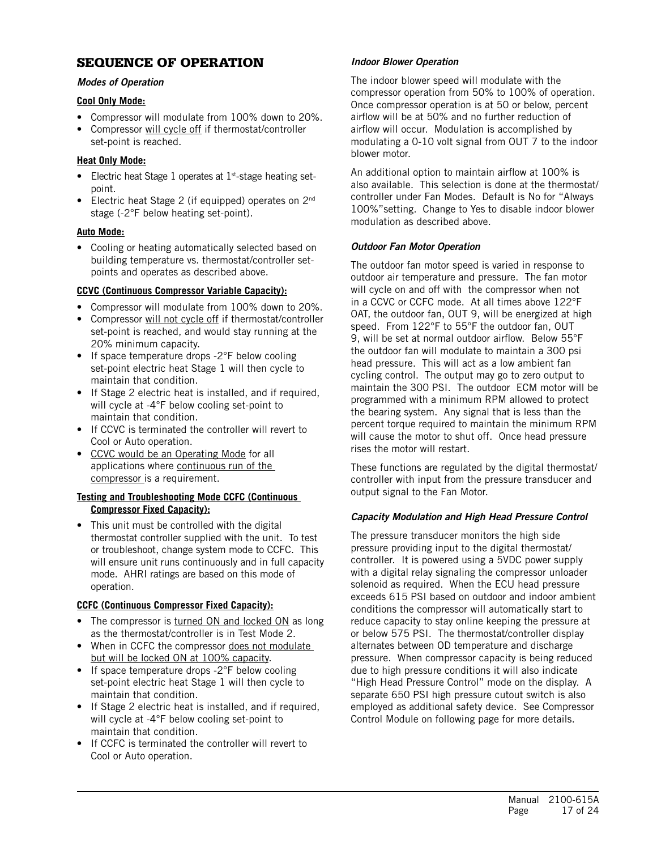## SEQUENCE OF OPERATION

#### *Modes of Operation*

#### **Cool Only Mode:**

- Compressor will modulate from 100% down to 20%.
- Compressor will cycle off if thermostat/controller set-point is reached.

#### **Heat Only Mode:**

- Electric heat Stage 1 operates at 1st-stage heating setpoint.
- Electric heat Stage 2 (if equipped) operates on 2<sup>nd</sup> stage (-2°F below heating set-point).

#### **Auto Mode:**

• Cooling or heating automatically selected based on building temperature vs. thermostat/controller setpoints and operates as described above.

#### **CCVC (Continuous Compressor Variable Capacity):**

- Compressor will modulate from 100% down to 20%.
- Compressor will not cycle off if thermostat/controller set-point is reached, and would stay running at the 20% minimum capacity.
- If space temperature drops -2°F below cooling set-point electric heat Stage 1 will then cycle to maintain that condition.
- If Stage 2 electric heat is installed, and if required, will cycle at -4<sup>o</sup>F below cooling set-point to maintain that condition.
- If CCVC is terminated the controller will revert to Cool or Auto operation.
- CCVC would be an Operating Mode for all applications where continuous run of the compressor is a requirement.

#### **Testing and Troubleshooting Mode CCFC (Continuous Compressor Fixed Capacity):**

• This unit must be controlled with the digital thermostat controller supplied with the unit. To test or troubleshoot, change system mode to CCFC. This will ensure unit runs continuously and in full capacity mode. AHRI ratings are based on this mode of operation.

## **CCFC (Continuous Compressor Fixed Capacity):**

- The compressor is turned ON and locked ON as long as the thermostat/controller is in Test Mode 2.
- When in CCFC the compressor does not modulate but will be locked ON at 100% capacity.
- If space temperature drops -2°F below cooling set-point electric heat Stage 1 will then cycle to maintain that condition.
- If Stage 2 electric heat is installed, and if required, will cycle at -4°F below cooling set-point to maintain that condition.
- If CCFC is terminated the controller will revert to Cool or Auto operation.

### *Indoor Blower Operation*

The indoor blower speed will modulate with the compressor operation from 50% to 100% of operation. Once compressor operation is at 50 or below, percent airflow will be at 50% and no further reduction of airflow will occur. Modulation is accomplished by modulating a 0-10 volt signal from OUT 7 to the indoor blower motor.

An additional option to maintain airflow at 100% is also available. This selection is done at the thermostat/ controller under Fan Modes. Default is No for "Always 100%"setting. Change to Yes to disable indoor blower modulation as described above.

#### *Outdoor Fan Motor Operation*

The outdoor fan motor speed is varied in response to outdoor air temperature and pressure. The fan motor will cycle on and off with the compressor when not in a CCVC or CCFC mode. At all times above 122°F OAT, the outdoor fan, OUT 9, will be energized at high speed. From 122°F to 55°F the outdoor fan, OUT 9, will be set at normal outdoor airflow. Below 55°F the outdoor fan will modulate to maintain a 300 psi head pressure. This will act as a low ambient fan cycling control. The output may go to zero output to maintain the 300 PSI. The outdoor ECM motor will be programmed with a minimum RPM allowed to protect the bearing system. Any signal that is less than the percent torque required to maintain the minimum RPM will cause the motor to shut off. Once head pressure rises the motor will restart.

These functions are regulated by the digital thermostat/ controller with input from the pressure transducer and output signal to the Fan Motor.

#### *Capacity Modulation and High Head Pressure Control*

The pressure transducer monitors the high side pressure providing input to the digital thermostat/ controller. It is powered using a 5VDC power supply with a digital relay signaling the compressor unloader solenoid as required. When the ECU head pressure exceeds 615 PSI based on outdoor and indoor ambient conditions the compressor will automatically start to reduce capacity to stay online keeping the pressure at or below 575 PSI. The thermostat/controller display alternates between OD temperature and discharge pressure. When compressor capacity is being reduced due to high pressure conditions it will also indicate "High Head Pressure Control" mode on the display. A separate 650 PSI high pressure cutout switch is also employed as additional safety device. See Compressor Control Module on following page for more details.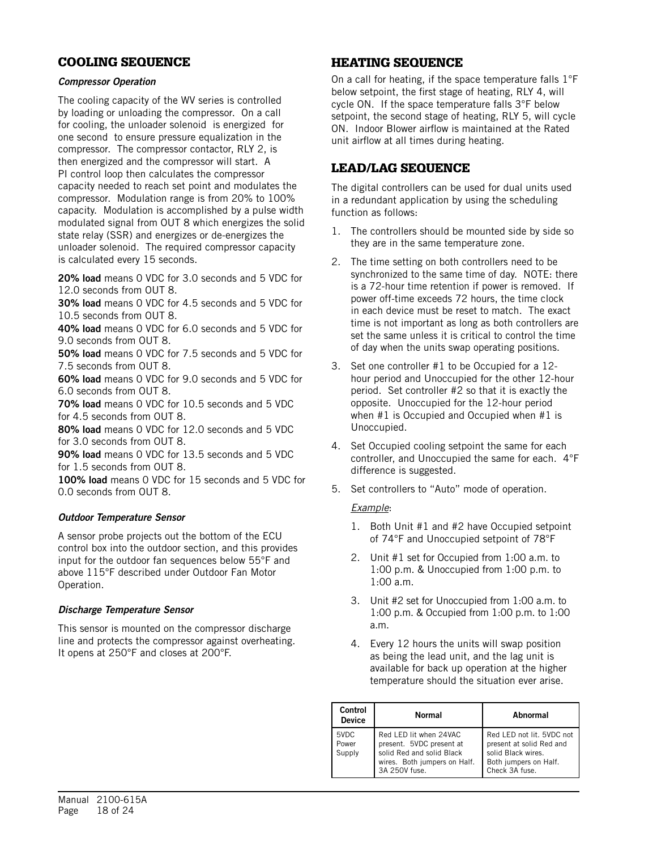## COOLING SEQUENCE

#### *Compressor Operation*

The cooling capacity of the WV series is controlled by loading or unloading the compressor. On a call for cooling, the unloader solenoid is energized for one second to ensure pressure equalization in the compressor. The compressor contactor, RLY 2, is then energized and the compressor will start. A PI control loop then calculates the compressor capacity needed to reach set point and modulates the compressor. Modulation range is from 20% to 100% capacity. Modulation is accomplished by a pulse width modulated signal from OUT 8 which energizes the solid state relay (SSR) and energizes or de-energizes the unloader solenoid. The required compressor capacity is calculated every 15 seconds.

20% load means 0 VDC for 3.0 seconds and 5 VDC for 12.0 seconds from OUT 8.

30% load means 0 VDC for 4.5 seconds and 5 VDC for 10.5 seconds from OUT 8.

40% load means 0 VDC for 6.0 seconds and 5 VDC for 9.0 seconds from OUT 8.

50% load means 0 VDC for 7.5 seconds and 5 VDC for 7.5 seconds from OUT 8.

60% load means 0 VDC for 9.0 seconds and 5 VDC for 6.0 seconds from OUT 8.

70% load means 0 VDC for 10.5 seconds and 5 VDC for 4.5 seconds from OUT 8.

80% load means 0 VDC for 12.0 seconds and 5 VDC for 3.0 seconds from OUT 8.

90% load means 0 VDC for 13.5 seconds and 5 VDC for 1.5 seconds from OUT 8.

100% load means 0 VDC for 15 seconds and 5 VDC for 0.0 seconds from OUT 8.

#### *Outdoor Temperature Sensor*

A sensor probe projects out the bottom of the ECU control box into the outdoor section, and this provides input for the outdoor fan sequences below 55°F and above 115°F described under Outdoor Fan Motor Operation.

#### *Discharge Temperature Sensor*

This sensor is mounted on the compressor discharge line and protects the compressor against overheating. It opens at 250°F and closes at 200°F.

## HEATING SEQUENCE

On a call for heating, if the space temperature falls 1°F below setpoint, the first stage of heating, RLY 4, will cycle ON. If the space temperature falls 3°F below setpoint, the second stage of heating, RLY 5, will cycle ON. Indoor Blower airflow is maintained at the Rated unit airflow at all times during heating.

## LEAD/LAG SEQUENCE

The digital controllers can be used for dual units used in a redundant application by using the scheduling function as follows:

- 1. The controllers should be mounted side by side so they are in the same temperature zone.
- 2. The time setting on both controllers need to be synchronized to the same time of day. NOTE: there is a 72-hour time retention if power is removed. If power off-time exceeds 72 hours, the time clock in each device must be reset to match. The exact time is not important as long as both controllers are set the same unless it is critical to control the time of day when the units swap operating positions.
- 3. Set one controller #1 to be Occupied for a 12 hour period and Unoccupied for the other 12-hour period. Set controller #2 so that it is exactly the opposite. Unoccupied for the 12-hour period when #1 is Occupied and Occupied when #1 is Unoccupied.
- 4. Set Occupied cooling setpoint the same for each controller, and Unoccupied the same for each. 4°F difference is suggested.
- 5. Set controllers to "Auto" mode of operation.

#### *Example*:

- 1. Both Unit #1 and #2 have Occupied setpoint of 74°F and Unoccupied setpoint of 78°F
- 2. Unit #1 set for Occupied from 1:00 a.m. to 1:00 p.m. & Unoccupied from 1:00 p.m. to 1:00 a.m.
- 3. Unit #2 set for Unoccupied from 1:00 a.m. to 1:00 p.m. & Occupied from 1:00 p.m. to 1:00 a.m.
- 4. Every 12 hours the units will swap position as being the lead unit, and the lag unit is available for back up operation at the higher temperature should the situation ever arise.

| Control<br><b>Device</b> | Normal                                                                                                                           | Abnormal                                                                                                               |
|--------------------------|----------------------------------------------------------------------------------------------------------------------------------|------------------------------------------------------------------------------------------------------------------------|
| 5VDC<br>Power<br>Supply  | Red LED lit when 24VAC<br>present. 5VDC present at<br>solid Red and solid Black<br>wires. Both jumpers on Half.<br>3A 250V fuse. | Red LED not lit. 5VDC not<br>present at solid Red and<br>solid Black wires.<br>Both jumpers on Half.<br>Check 3A fuse. |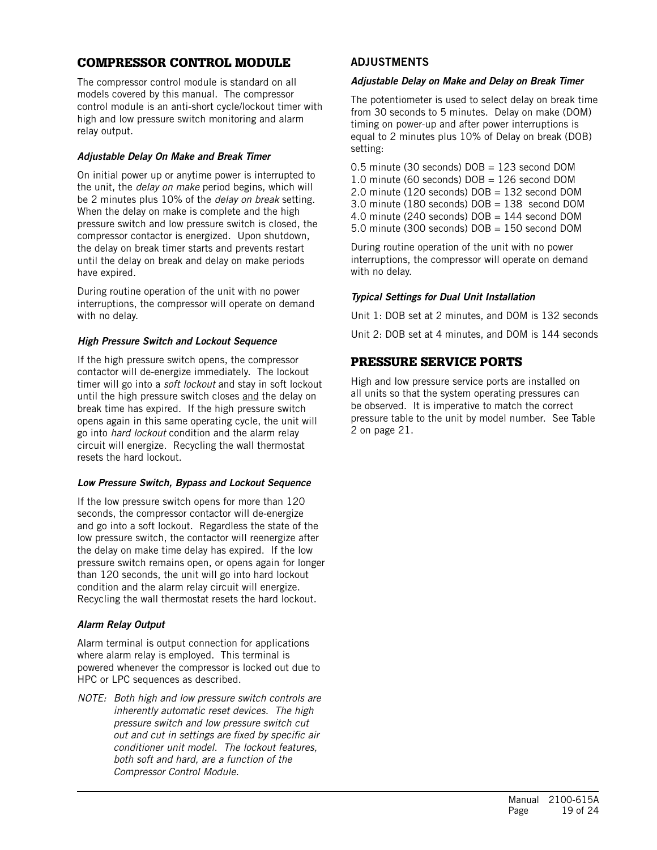## COMPRESSOR CONTROL MODULE

The compressor control module is standard on all models covered by this manual. The compressor control module is an anti-short cycle/lockout timer with high and low pressure switch monitoring and alarm relay output.

### *Adjustable Delay On Make and Break Timer*

On initial power up or anytime power is interrupted to the unit, the *delay on make* period begins, which will be 2 minutes plus 10% of the *delay on break* setting. When the delay on make is complete and the high pressure switch and low pressure switch is closed, the compressor contactor is energized. Upon shutdown, the delay on break timer starts and prevents restart until the delay on break and delay on make periods have expired.

During routine operation of the unit with no power interruptions, the compressor will operate on demand with no delay.

#### *High Pressure Switch and Lockout Sequence*

If the high pressure switch opens, the compressor contactor will de-energize immediately. The lockout timer will go into a *soft lockout* and stay in soft lockout until the high pressure switch closes and the delay on break time has expired. If the high pressure switch opens again in this same operating cycle, the unit will go into *hard lockout* condition and the alarm relay circuit will energize. Recycling the wall thermostat resets the hard lockout.

#### *Low Pressure Switch, Bypass and Lockout Sequence*

If the low pressure switch opens for more than 120 seconds, the compressor contactor will de-energize and go into a soft lockout. Regardless the state of the low pressure switch, the contactor will reenergize after the delay on make time delay has expired. If the low pressure switch remains open, or opens again for longer than 120 seconds, the unit will go into hard lockout condition and the alarm relay circuit will energize. Recycling the wall thermostat resets the hard lockout.

## *Alarm Relay Output*

Alarm terminal is output connection for applications where alarm relay is employed. This terminal is powered whenever the compressor is locked out due to HPC or LPC sequences as described.

*NOTE: Both high and low pressure switch controls are inherently automatic reset devices. The high pressure switch and low pressure switch cut out and cut in settings are fixed by specific air conditioner unit model. The lockout features, both soft and hard, are a function of the Compressor Control Module.* 

## ADJUSTMENTS

#### *Adjustable Delay on Make and Delay on Break Timer*

The potentiometer is used to select delay on break time from 30 seconds to 5 minutes. Delay on make (DOM) timing on power-up and after power interruptions is equal to 2 minutes plus 10% of Delay on break (DOB) setting:

0.5 minute (30 seconds) DOB = 123 second DOM 1.0 minute (60 seconds)  $DOB = 126$  second DOM 2.0 minute (120 seconds) DOB = 132 second DOM 3.0 minute (180 seconds) DOB = 138 second DOM 4.0 minute (240 seconds) DOB = 144 second DOM 5.0 minute (300 seconds) DOB = 150 second DOM

During routine operation of the unit with no power interruptions, the compressor will operate on demand with no delay.

#### *Typical Settings for Dual Unit Installation*

Unit 1: DOB set at 2 minutes, and DOM is 132 seconds Unit 2: DOB set at 4 minutes, and DOM is 144 seconds

## PRESSURE SERVICE PORTS

High and low pressure service ports are installed on all units so that the system operating pressures can be observed. It is imperative to match the correct pressure table to the unit by model number. See Table 2 on page 21.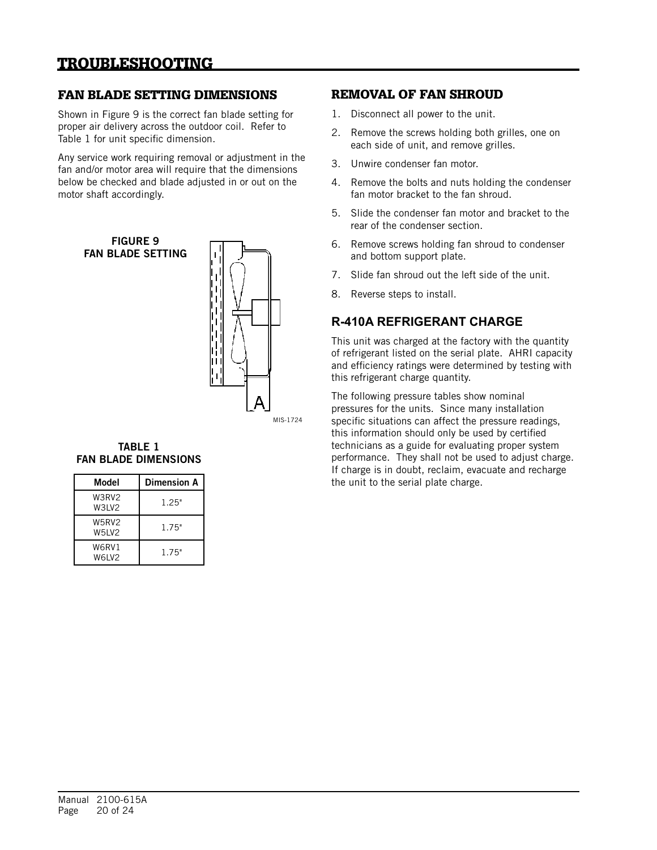# TROUBLESHOOTING

## FAN BLADE SETTING DIMENSIONS

Shown in Figure 9 is the correct fan blade setting for proper air delivery across the outdoor coil. Refer to Table 1 for unit specific dimension.

Any service work requiring removal or adjustment in the fan and/or motor area will require that the dimensions below be checked and blade adjusted in or out on the motor shaft accordingly.



MIS-1724

#### TABLE 1 FAN BLADE DIMENSIONS

| Model          | <b>Dimension A</b> |
|----------------|--------------------|
| W3RV2<br>W3LV2 | 1.25"              |
| W5RV2<br>W5LV2 | 1.75"              |
| W6RV1<br>W6LV2 | 1.75"              |

## REMOVAL OF FAN SHROUD

- 1. Disconnect all power to the unit.
- 2. Remove the screws holding both grilles, one on each side of unit, and remove grilles.
- 3. Unwire condenser fan motor.
- 4. Remove the bolts and nuts holding the condenser fan motor bracket to the fan shroud.
- 5. Slide the condenser fan motor and bracket to the rear of the condenser section.
- 6. Remove screws holding fan shroud to condenser and bottom support plate.
- 7. Slide fan shroud out the left side of the unit.
- 8. Reverse steps to install.

## **R-410A REFRIGERANT CHARGE**

This unit was charged at the factory with the quantity of refrigerant listed on the serial plate. AHRI capacity and efficiency ratings were determined by testing with this refrigerant charge quantity.

The following pressure tables show nominal pressures for the units. Since many installation specific situations can affect the pressure readings, this information should only be used by certified technicians as a guide for evaluating proper system performance. They shall not be used to adjust charge. If charge is in doubt, reclaim, evacuate and recharge the unit to the serial plate charge.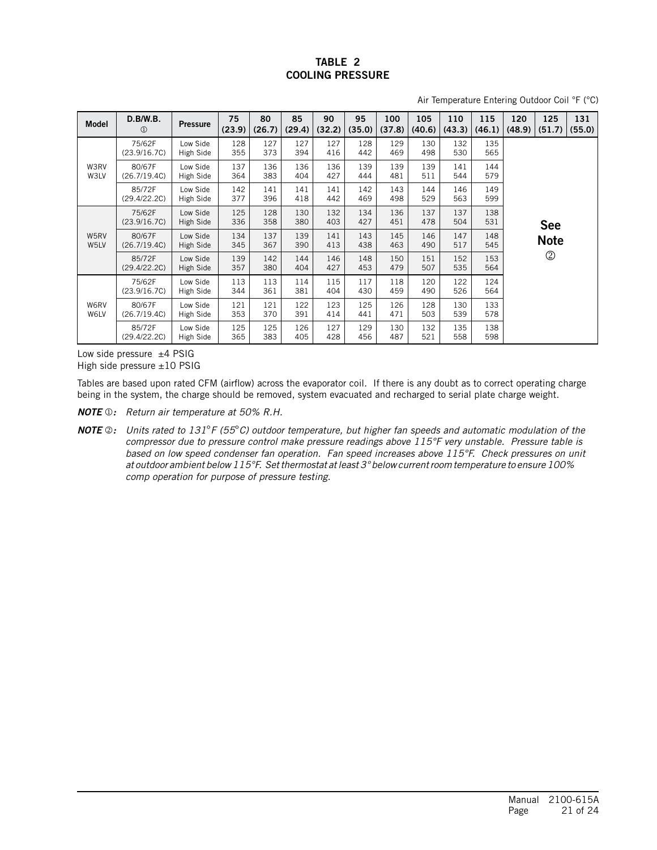Air Temperature Entering Outdoor Coil °F (°C)

| <b>Model</b> | D.B/W.B.<br>$\circled{1}$ | <b>Pressure</b>       | 75<br>(23.9) | 80<br>(26.7) | 85<br>(29.4) | 90<br>(32.2) | 95<br>(35.0) | 100<br>(37.8) | 105<br>(40.6) | 110<br>(43.3) | 115<br>(46.1) | 120<br>(48.9) | 125<br>(51.7)  | 131<br>(55.0) |
|--------------|---------------------------|-----------------------|--------------|--------------|--------------|--------------|--------------|---------------|---------------|---------------|---------------|---------------|----------------|---------------|
|              | 75/62F<br>(23.9/16.7C)    | Low Side<br>High Side | 128<br>355   | 127<br>373   | 127<br>394   | 127<br>416   | 128<br>442   | 129<br>469    | 130<br>498    | 132<br>530    | 135<br>565    |               |                |               |
| W3RV<br>W3LV | 80/67F<br>(26.7/19.4C)    | Low Side<br>High Side | 137<br>364   | 136<br>383   | 136<br>404   | 136<br>427   | 139<br>444   | 139<br>481    | 139<br>511    | 141<br>544    | 144<br>579    |               |                |               |
|              | 85/72F<br>(29.4/22.2C)    | Low Side<br>High Side | 142<br>377   | 141<br>396   | 141<br>418   | 141<br>442   | 142<br>469   | 143<br>498    | 144<br>529    | 146<br>563    | 149<br>599    |               |                |               |
|              | 75/62F<br>(23.9/16.7C)    | Low Side<br>High Side | 125<br>336   | 128<br>358   | 130<br>380   | 132<br>403   | 134<br>427   | 136<br>451    | 137<br>478    | 137<br>504    | 138<br>531    |               | <b>See</b>     |               |
| W5RV<br>W5LV | 80/67F<br>(26.7/19.4C)    | Low Side<br>High Side | 134<br>345   | 137<br>367   | 139<br>390   | 141<br>413   | 143<br>438   | 145<br>463    | 146<br>490    | 147<br>517    | 148<br>545    |               | <b>Note</b>    |               |
|              | 85/72F<br>(29.4/22.2C)    | Low Side<br>High Side | 139<br>357   | 142<br>380   | 144<br>404   | 146<br>427   | 148<br>453   | 150<br>479    | 151<br>507    | 152<br>535    | 153<br>564    |               | $^{\circledR}$ |               |
|              | 75/62F<br>(23.9/16.7C)    | Low Side<br>High Side | 113<br>344   | 113<br>361   | 114<br>381   | 115<br>404   | 117<br>430   | 118<br>459    | 120<br>490    | 122<br>526    | 124<br>564    |               |                |               |
| W6RV<br>W6LV | 80/67F<br>(26.7/19.4C)    | Low Side<br>High Side | 121<br>353   | 121<br>370   | 122<br>391   | 123<br>414   | 125<br>441   | 126<br>471    | 128<br>503    | 130<br>539    | 133<br>578    |               |                |               |
|              | 85/72F<br>(29.4/22.2C)    | Low Side<br>High Side | 125<br>365   | 125<br>383   | 126<br>405   | 127<br>428   | 129<br>456   | 130<br>487    | 132<br>521    | 135<br>558    | 138<br>598    |               |                |               |

Low side pressure  $±4$  PSIG High side pressure ±10 PSIG

Tables are based upon rated CFM (airflow) across the evaporator coil. If there is any doubt as to correct operating charge being in the system, the charge should be removed, system evacuated and recharged to serial plate charge weight.

*NOTE : Return air temperature at 50% R.H.*

*NOTE : Units rated to 131*°*F (55*°*C) outdoor temperature, but higher fan speeds and automatic modulation of the compressor due to pressure control make pressure readings above 115°F very unstable. Pressure table is based on low speed condenser fan operation. Fan speed increases above 115°F. Check pressures on unit at outdoor ambient below 115°F. Set thermostat at least 3° below current room temperature to ensure 100% comp operation for purpose of pressure testing.*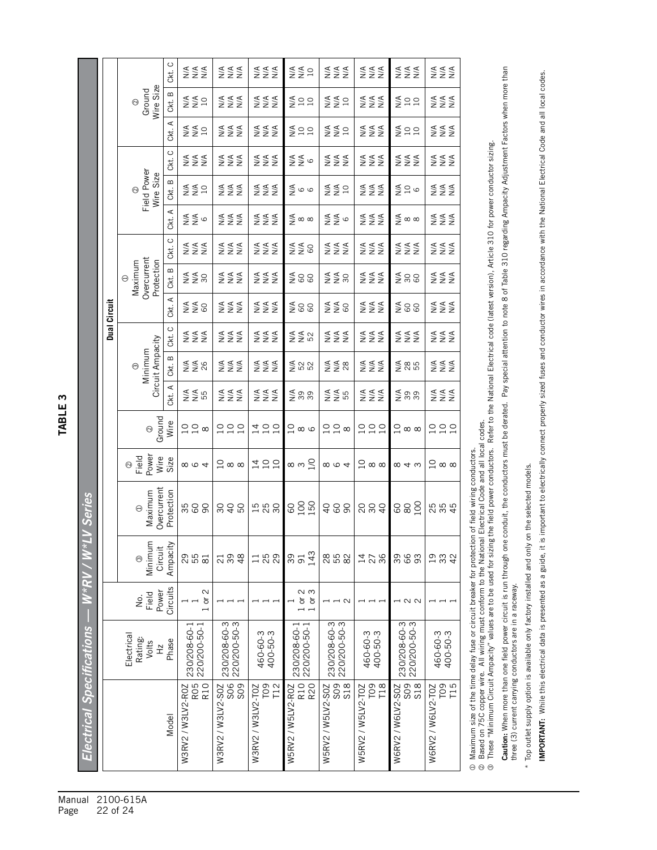TABLE<sub>3</sub>

|                             |                  |                                                  | Ckt. C                                        | $\begin{array}{c}\n 4 \\  2 \\  3 \\  4\n \end{array}$ | ≶<br>≨≨≨                                               | ≶≦<br>≷≦                                           | $\Sigma$                                           | $\begin{array}{c}\n 4 \\  2 \\  3\n \end{array}$ | ≶<br>≨≨≨                                           | ≶≦<br>Z<br>Z                                       | ≶≦<br>Z<br>Z                                            |                                             |
|-----------------------------|------------------|--------------------------------------------------|-----------------------------------------------|--------------------------------------------------------|--------------------------------------------------------|----------------------------------------------------|----------------------------------------------------|--------------------------------------------------|----------------------------------------------------|----------------------------------------------------|---------------------------------------------------------|---------------------------------------------|
|                             |                  |                                                  | Wire Size<br>Ground<br>$\odot$                | Ckt. B                                                 | ≨§¤                                                    | ggg<br>Z∑Z                                         | ≲≨≨<br>≥≥≥                                         | 599                                              | $\S$ $\S$ $\simeq$                                 | $\begin{array}{c}\n\xi \\ \xi \\ \xi\n\end{array}$ | gas                                                     | $\Sigma \Sigma$                             |
|                             |                  |                                                  |                                               | ⋖<br>Ckt.                                              | $\S$ $\S$ $\simeq$                                     | ≶≨<br>≨≨                                           | $\begin{array}{c}\n\xi \\ \xi \\ \xi\n\end{array}$ | 599                                              | ≨≨¤                                                | ≶≦<br>≨≨                                           | gas                                                     | ≶≦<br>≨≨                                    |
|                             |                  |                                                  | $\circ$<br>Сkt.                               | ≶<br>≨≨≨                                               | ≶≦<br>Z<br>Z                                           | ≶<br>≨≦ž                                           | ⋚⋚७                                                | $\begin{array}{c}\n 4 \\  2 \\  3\n \end{array}$ | ≶<br>S<br>Z<br>Z<br>Z                              | ≲≨≨<br>≥≥≥                                         | ≶≦<br>Z<br>Z                                            |                                             |
|                             |                  | Field Power<br>Wire Size<br>$\odot$              | Ckt. B                                        | $\S$ $\S$ $\simeq$                                     | ggg<br>Z∑Z                                             | ≶<br>S<br>Z<br>Z<br>Z                              | $\frac{4}{5}$ o o                                  | ≨≨¤                                              | teres<br>Santa                                     |                                                    | ggg<br>Z∑Z                                              |                                             |
|                             |                  |                                                  | ⋖<br>čki.                                     | ⋚⋚७                                                    | ≶≨<br>≨≨                                               | ≲≹<br>≥≥≥                                          | $\lessgtr$ $\infty$ $\infty$                       | ⋚⋚७                                              | $\begin{array}{c}\n\xi \\ \xi \\ \xi\n\end{array}$ | $\lessgtr$ $\infty$ $\infty$                       | ≶≨<br>≨<br>Z                                            |                                             |
|                             |                  |                                                  |                                               | Ckt. C                                                 | $\begin{array}{c}\n 4 \\  2 \\  3 \\  4\n \end{array}$ | ggg<br>Z∑Z                                         | ggg<br>Z∑Z                                         | $\S$ $\S$ 8                                      | ≶≦<br>≨≨                                           | ≶≦<br>Z<br>Z                                       | tar<br>Sara                                             | ggg<br>Z∑Z                                  |
| Dual Circuit<br>TABLE 3     |                  | Overcurrent<br>Protection<br>Maximum<br>$\Theta$ | $\mathbf  \, \mathbf  \, \mathbf  \,$<br>čkt. | $\Sigma \leq 0$                                        | ≶≦<br>Z<br>Z                                           | ≶<br>≨≦≨                                           | $\S$ 88                                            | $\Sigma \gtrapprox 0$                            | ≶<br>S<br>Z<br>Z<br>Z                              | $\frac{5}{2}$ $\frac{8}{9}$                        | $\begin{array}{c}\n\xi \\ \xi \\ \xi\n\end{array}$      |                                             |
|                             |                  |                                                  | Ckt. A<br>$\circ$                             | $\S$ $\S$ 8                                            | ≶≨<br>≨≨                                               | $\S$ $\S$ $\S$ $\S$ $\S$ $\S$                      | $\S$ 88                                            | $\S$ $\S$ 8                                      | $\begin{array}{c}\n\xi \\ \xi \\ \xi\n\end{array}$ | $\S$ 88                                            | $\begin{array}{c}\n\xi \\ \xi \\ \xi\n\end{array}$      |                                             |
|                             |                  |                                                  | Сkt.                                          | ≶≦<br>Z<br>Z                                           | ≶≨<br>≨≨                                               | ≲≹<br>≥≥≥                                          | ≨≨<br>≥≨                                           | ≶≨<br>≨                                          | <b>ASSE</b>                                        | ≲≨≨<br>≥≥≥                                         | ≶≨<br>≨<br>Z                                            |                                             |
|                             |                  | Circuit Ampacity<br>Minimum<br>$_{\odot}$        | Ckt. B                                        | S¥<br>M<br>Z≸                                          | ≶<br>≨≨≨                                               | $\begin{array}{c}\n\xi \\ \xi \\ \xi\n\end{array}$ | 288                                                | $\Sigma \leq \infty$                             | $\S$ $\S$ $\S$ $\S$ $\S$                           | $\frac{48}{55}$                                    | ≶≨<br>≨                                                 |                                             |
|                             |                  |                                                  | Ckt. A                                        | es<br>S≨a                                              | ggg<br>Z∑Z                                             | ggg<br>Z∑Z                                         | $\sum_{i=1}^{n}$                                   | es<br>S≨a                                        | ≶≦<br>Z<br>Z                                       | $\sum\limits_{i=1}^{n}$                            | ggg<br>Z∑Z                                              |                                             |
|                             |                  | Ground<br>$\odot$                                | Wire                                          | $22\sigma$                                             | 220                                                    | 120                                                | $\alpha$ ထ                                         | $22\sigma$                                       | 220                                                | $\supseteq \infty$                                 | $\begin{array}{c} 2 & 2 \\ 2 & 1 \end{array}$           |                                             |
|                             |                  | Field<br>Power<br>Wire<br>$\odot$                | Size                                          | $\infty$ $\infty$ $\infty$                             | $\supseteq \infty$                                     | 190                                                | თო $\frac{1}{2}$                                   | $\infty$ $\infty$ $\infty$                       | $\supseteq \infty$ $\infty$                        | $\infty$ 4 $\omega$                                | $\supseteq \infty$ $\infty$                             |                                             |
|                             |                  |                                                  | Overcurrent<br>Maximum<br>$\Theta$            | Protection                                             | 500                                                    | 848                                                | <b>1588</b>                                        |                                                  | 488                                                | 888                                                | 882                                                     | 5<br>25<br>25<br>25                         |
|                             | W*RV/W*LV Series |                                                  | Minimum<br>Circuit<br>$\odot$                 | Ampacity                                               | 29<br>55<br>$\overline{8}$                             | $\frac{8}{4}$<br>39<br>21                          | 188                                                | 143<br>39<br>$\overline{91}$                     | 8<br>8<br>5<br>8<br>8<br>8                         | 14/2<br>36                                         | 39<br>66<br>93                                          | <b>933</b><br>42                            |
|                             |                  |                                                  | Circuits<br>Power<br>Field<br>δ.              |                                                        | $\sim$<br>$\overleftarrow{\sigma}$                     |                                                    |                                                    | പ ധ<br>$1$ or<br>$\frac{1}{10}$                  | $\overline{\phantom{0}}$                           |                                                    | – ∧ ∧                                                   |                                             |
|                             |                  | Electrical<br>Rating:<br>Volts<br>$\frac{N}{L}$  | Phase                                         | 220/200-50-1<br>230/208-60-1                           | 220/200-50-3<br>230/208-60-3                           | 400-50-3<br>460-60-3                               | 220/200-50-1<br>230/208-60-1                       | 230/208-60-3<br>220/200-50-3                     | 460-60-3<br>400-50-3                               | 230/208-60-3<br>220/200-50-3                       | 460-60-3<br>400-50-3                                    |                                             |
| Electrical Specifications — |                  |                                                  |                                               | Model                                                  | R <sub>10</sub><br>RO5<br>W3RV2 / W3LV2-ROZ            | W3RV2 / W3LV2-S0Z<br>SO <sub>9</sub><br>SO6        | T09<br>T12<br>W3RV2 / W3LV2-T0Z                    | R <sub>10</sub><br>R20<br>W5RV2 / W5LV2-ROZ      | W5RV2 / W5LV2-S0Z<br>S <sub>09</sub><br><b>S18</b> | T <sub>09</sub><br>T18<br>W5RV2 / W5LV2-T0Z        | SO <sub>9</sub><br>SO <sub>8</sub><br>W6RV2 / W6LV2-S0Z | T <sub>09</sub><br>W6RV2 / W6LV2-T0Z<br>T15 |
| Manual<br>Page              |                  | 22 of 24                                         | 2100-615A                                     |                                                        |                                                        |                                                    |                                                    |                                                  |                                                    |                                                    |                                                         |                                             |

Maximum size of the time delay fuse or circuit breaker for protection of field wiring conductors.

⊕ Maximum size of the time delay fuse or circuit breaker for protection of field wiring conductors.<br>② Based on 75C copper wire. All wiring must conform to the National Electrical Code and all local codes.<br>③ These "Minimum Based on 75C copper wire. All wiring must conform to the National Electrical Code and all local codes. These "Minimum Circuit Ampacity" values are to be used for sizing the field power conductors. Refer to the National Electrical code (latest version), Article 310 for power conductor sizing.

Caution: When more than one field power circuit is run through one conduit, the conductors must be derated. Pay special attention to note 8 of Table 310 regarding Ampacity Adjustment Factors when more than Caution: When more than one field power circuit is run through one conduit, the conductors must be derated. Pay special attention to note 8 of Table 310 regarding Ampacity Adjustment Factors when more than three (3) current carrying conductors are in a raceway. three (3) current carrying conductors are in a raceway.

\* Top outlet supply option is available only factory installed and only on the selected models. \* Top outlet supply option is available only factory installed and only on the selected models.

IMPORTANT: While this electrical data is presented as a guide, it is important to electrically connect properly sized fuses and conductor wires in accordance with the National Electrical Code and all local codes. IMPORTANT: While this electrical data is presented as a guide, it is important to electrically connect properly sized fuses and conductor wires in accordance with the National Electrical Code and all local codes.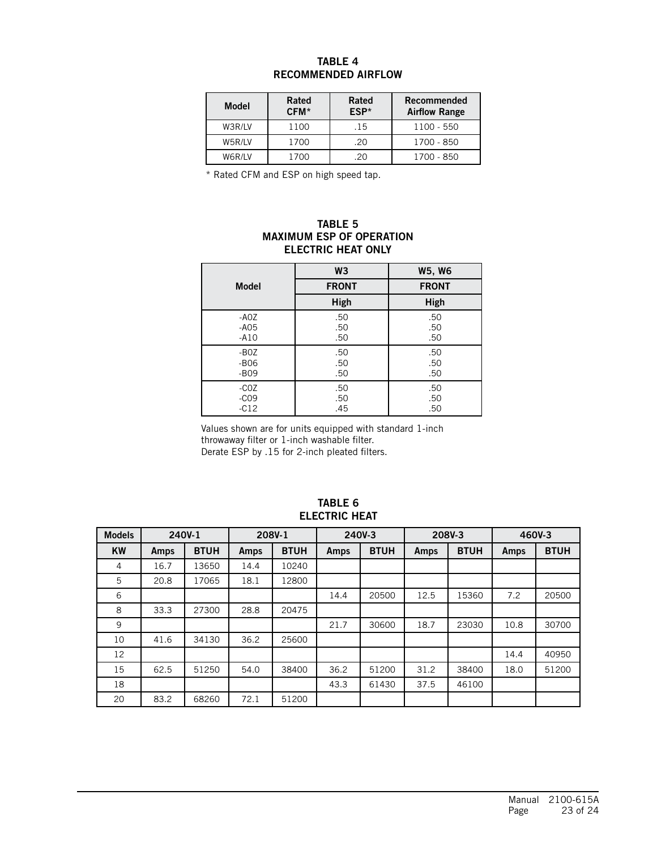## TABLE 4 RECOMMENDED AIRFLOW

| <b>Model</b> | Rated<br>CFM* | Rated<br>ESP* | Recommended<br><b>Airflow Range</b> |
|--------------|---------------|---------------|-------------------------------------|
| W3R/LV       | 1100          | .15           | 1100 - 550                          |
| W5R/LV       | 1700          | .20           | 1700 - 850                          |
| W6R/LV       | 1700          | -20           | 1700 - 850                          |

\* Rated CFM and ESP on high speed tap.

#### TABLE 5 MAXIMUM ESP OF OPERATION ELECTRIC HEAT ONLY

|              | W <sub>3</sub> | <b>W5, W6</b> |
|--------------|----------------|---------------|
| <b>Model</b> | <b>FRONT</b>   | <b>FRONT</b>  |
|              | High           | High          |
| $-AOZ$       | .50            | .50           |
| $-A05$       | .50            | .50           |
| $-A10$       | .50            | .50           |
| $-BOZ$       | .50            | .50           |
| $-B06$       | .50            | .50           |
| $-B09$       | .50            | .50           |
| $-COZ$       | .50            | .50           |
| $-CO9$       | .50            | .50           |
| $-C12$       | .45            | .50           |

Values shown are for units equipped with standard 1-inch throwaway filter or 1-inch washable filter. Derate ESP by .15 for 2-inch pleated filters.

| <b>Models</b> | 240V-1 |             | 208V-1 |             | 240V-3 |             |      | 208V-3      | 460V-3 |             |
|---------------|--------|-------------|--------|-------------|--------|-------------|------|-------------|--------|-------------|
| <b>KW</b>     | Amps   | <b>BTUH</b> | Amps   | <b>BTUH</b> | Amps   | <b>BTUH</b> | Amps | <b>BTUH</b> | Amps   | <b>BTUH</b> |
| 4             | 16.7   | 13650       | 14.4   | 10240       |        |             |      |             |        |             |
| 5             | 20.8   | 17065       | 18.1   | 12800       |        |             |      |             |        |             |
| 6             |        |             |        |             | 14.4   | 20500       | 12.5 | 15360       | 7.2    | 20500       |
| 8             | 33.3   | 27300       | 28.8   | 20475       |        |             |      |             |        |             |
| 9             |        |             |        |             | 21.7   | 30600       | 18.7 | 23030       | 10.8   | 30700       |
| 10            | 41.6   | 34130       | 36.2   | 25600       |        |             |      |             |        |             |
| 12            |        |             |        |             |        |             |      |             | 14.4   | 40950       |
| 15            | 62.5   | 51250       | 54.0   | 38400       | 36.2   | 51200       | 31.2 | 38400       | 18.0   | 51200       |
| 18            |        |             |        |             | 43.3   | 61430       | 37.5 | 46100       |        |             |
| 20            | 83.2   | 68260       | 72.1   | 51200       |        |             |      |             |        |             |

#### TABLE 6 ELECTRIC HEAT